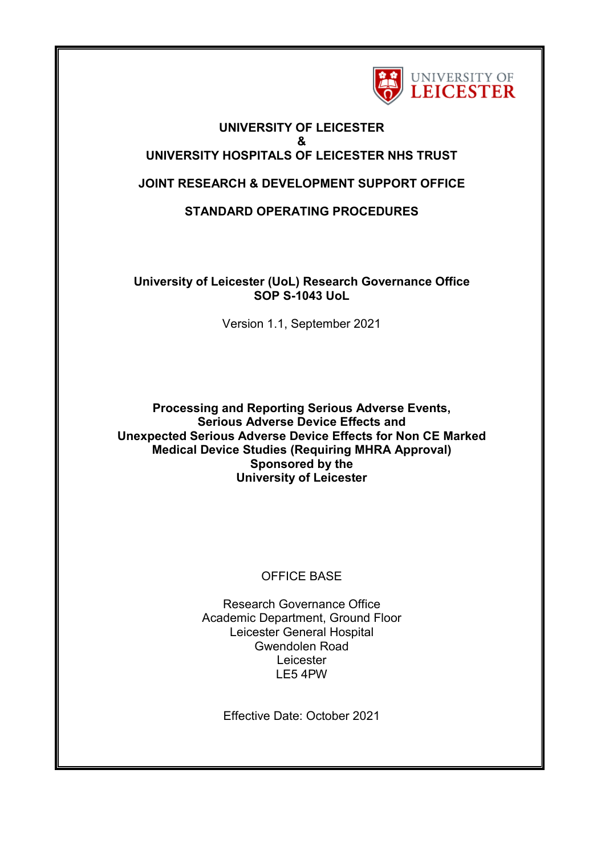

# **UNIVERSITY OF LEICESTER & UNIVERSITY HOSPITALS OF LEICESTER NHS TRUST**

# **JOINT RESEARCH & DEVELOPMENT SUPPORT OFFICE**

**STANDARD OPERATING PROCEDURES**

**University of Leicester (UoL) Research Governance Office SOP S-1043 UoL**

Version 1.1, September 2021

**Processing and Reporting Serious Adverse Events, Serious Adverse Device Effects and Unexpected Serious Adverse Device Effects for Non CE Marked Medical Device Studies (Requiring MHRA Approval) Sponsored by the University of Leicester**

# OFFICE BASE

Research Governance Office Academic Department, Ground Floor Leicester General Hospital Gwendolen Road **Leicester** LE5 4PW

Effective Date: October 2021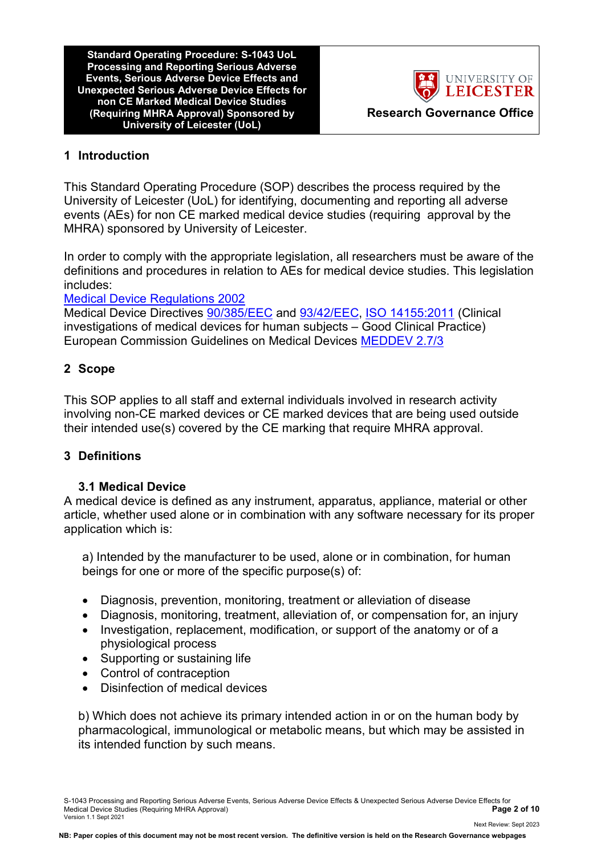**Standard Operating Procedure: S-1043 UoL Processing and Reporting Serious Adverse Events, Serious Adverse Device Effects and Unexpected Serious Adverse Device Effects for non CE Marked Medical Device Studies (Requiring MHRA Approval) Sponsored by University of Leicester (UoL)**



Next Review: Sept 2023

# **1 Introduction**

This Standard Operating Procedure (SOP) describes the process required by the University of Leicester (UoL) for identifying, documenting and reporting all adverse events (AEs) for non CE marked medical device studies (requiring approval by the MHRA) sponsored by University of Leicester.

In order to comply with the appropriate legislation, all researchers must be aware of the definitions and procedures in relation to AEs for medical device studies. This legislation includes:

# [Medical Device Regulations 2002](http://www.legislation.gov.uk/uksi/2002/618/contents/made)

Medical Device Directives [90/385/EEC](http://eur-lex.europa.eu/LexUriServ/LexUriServ.do?uri=CONSLEG:1990L0385:20071011:en:PDF) and [93/42/EEC,](http://eur-lex.europa.eu/LexUriServ/LexUriServ.do?uri=CONSLEG:1993L0042:20071011:en:PDF) [ISO 14155:2011](https://www.iso.org/standard/45557.html) (Clinical investigations of medical devices for human subjects – Good Clinical Practice) European Commission Guidelines on Medical Devices [MEDDEV 2.7/3](http://ec.europa.eu/consumers/sectors/medical-devices/files/meddev/2_7_3_en.pdf)

# **2 Scope**

This SOP applies to all staff and external individuals involved in research activity involving non-CE marked devices or CE marked devices that are being used outside their intended use(s) covered by the CE marking that require MHRA approval.

# **3 Definitions**

# **3.1 Medical Device**

A medical device is defined as any instrument, apparatus, appliance, material or other article, whether used alone or in combination with any software necessary for its proper application which is:

a) Intended by the manufacturer to be used, alone or in combination, for human beings for one or more of the specific purpose(s) of:

- Diagnosis, prevention, monitoring, treatment or alleviation of disease
- Diagnosis, monitoring, treatment, alleviation of, or compensation for, an injury
- Investigation, replacement, modification, or support of the anatomy or of a physiological process
- Supporting or sustaining life
- Control of contraception
- Disinfection of medical devices

b) Which does not achieve its primary intended action in or on the human body by pharmacological, immunological or metabolic means, but which may be assisted in its intended function by such means.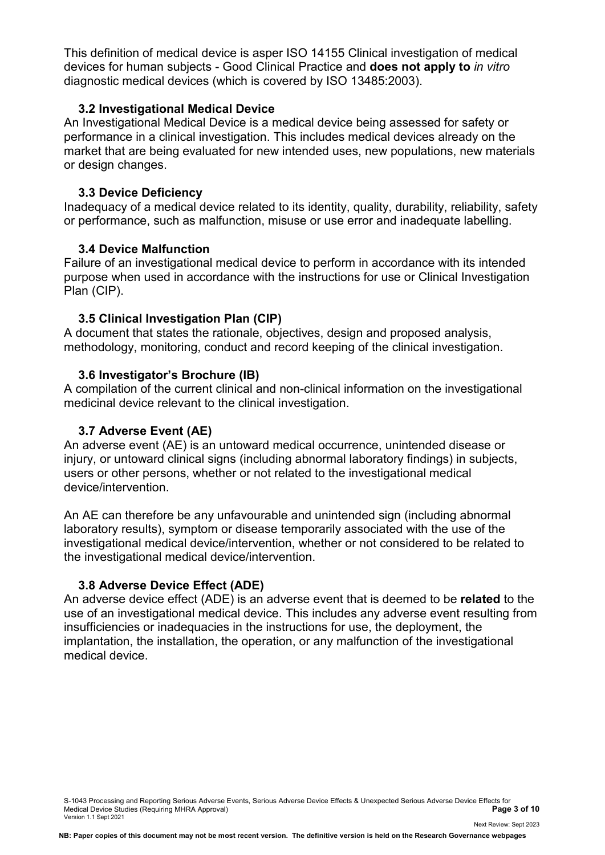This definition of medical device is asper ISO 14155 Clinical investigation of medical devices for human subjects - Good Clinical Practice and **does not apply to** *in vitro* diagnostic medical devices (which is covered by ISO 13485:2003).

### **3.2 Investigational Medical Device**

An Investigational Medical Device is a medical device being assessed for safety or performance in a clinical investigation. This includes medical devices already on the market that are being evaluated for new intended uses, new populations, new materials or design changes.

### **3.3 Device Deficiency**

Inadequacy of a medical device related to its identity, quality, durability, reliability, safety or performance, such as malfunction, misuse or use error and inadequate labelling.

### **3.4 Device Malfunction**

Failure of an investigational medical device to perform in accordance with its intended purpose when used in accordance with the instructions for use or Clinical Investigation Plan (CIP).

### **3.5 Clinical Investigation Plan (CIP)**

A document that states the rationale, objectives, design and proposed analysis, methodology, monitoring, conduct and record keeping of the clinical investigation.

#### **3.6 Investigator's Brochure (IB)**

A compilation of the current clinical and non-clinical information on the investigational medicinal device relevant to the clinical investigation.

#### **3.7 Adverse Event (AE)**

An adverse event (AE) is an untoward medical occurrence, unintended disease or injury, or untoward clinical signs (including abnormal laboratory findings) in subjects, users or other persons, whether or not related to the investigational medical device/intervention.

An AE can therefore be any unfavourable and unintended sign (including abnormal laboratory results), symptom or disease temporarily associated with the use of the investigational medical device/intervention, whether or not considered to be related to the investigational medical device/intervention.

# **3.8 Adverse Device Effect (ADE)**

An adverse device effect (ADE) is an adverse event that is deemed to be **related** to the use of an investigational medical device. This includes any adverse event resulting from insufficiencies or inadequacies in the instructions for use, the deployment, the implantation, the installation, the operation, or any malfunction of the investigational medical device.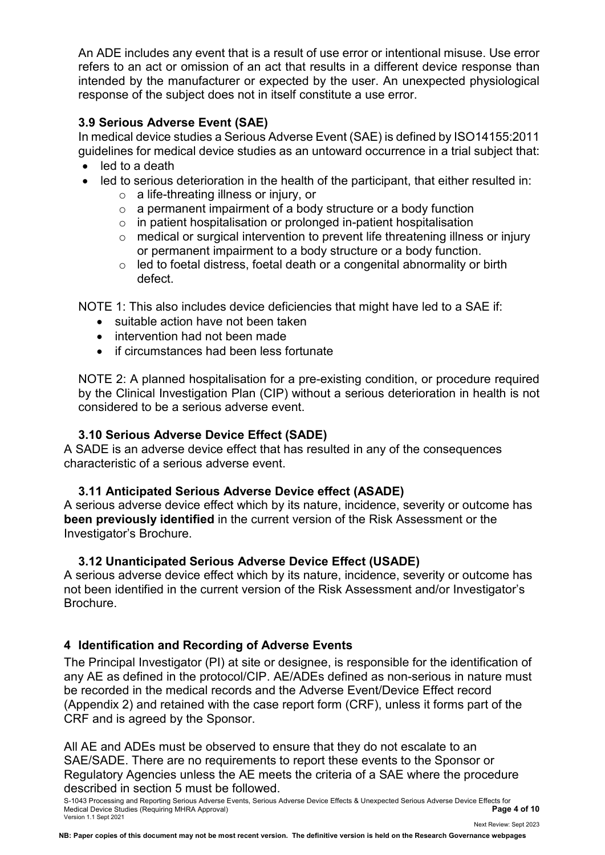An ADE includes any event that is a result of use error or intentional misuse. Use error refers to an act or omission of an act that results in a different device response than intended by the manufacturer or expected by the user. An unexpected physiological response of the subject does not in itself constitute a use error.

# **3.9 Serious Adverse Event (SAE)**

In medical device studies a Serious Adverse Event (SAE) is defined by ISO14155:2011 guidelines for medical device studies as an untoward occurrence in a trial subject that:

- led to a death
- led to serious deterioration in the health of the participant, that either resulted in:
	- o a life-threating illness or injury, or
	- o a permanent impairment of a body structure or a body function
	- $\circ$  in patient hospitalisation or prolonged in-patient hospitalisation
	- o medical or surgical intervention to prevent life threatening illness or injury or permanent impairment to a body structure or a body function.
	- o led to foetal distress, foetal death or a congenital abnormality or birth defect.

NOTE 1: This also includes device deficiencies that might have led to a SAE if:

- suitable action have not been taken
- intervention had not been made
- if circumstances had been less fortunate

NOTE 2: A planned hospitalisation for a pre-existing condition, or procedure required by the Clinical Investigation Plan (CIP) without a serious deterioration in health is not considered to be a serious adverse event.

# **3.10 Serious Adverse Device Effect (SADE)**

A SADE is an adverse device effect that has resulted in any of the consequences characteristic of a serious adverse event.

# **3.11 Anticipated Serious Adverse Device effect (ASADE)**

A serious adverse device effect which by its nature, incidence, severity or outcome has **been previously identified** in the current version of the Risk Assessment or the Investigator's Brochure.

# **3.12 Unanticipated Serious Adverse Device Effect (USADE)**

A serious adverse device effect which by its nature, incidence, severity or outcome has not been identified in the current version of the Risk Assessment and/or Investigator's Brochure.

# **4 Identification and Recording of Adverse Events**

The Principal Investigator (PI) at site or designee, is responsible for the identification of any AE as defined in the protocol/CIP. AE/ADEs defined as non-serious in nature must be recorded in the medical records and the Adverse Event/Device Effect record (Appendix 2) and retained with the case report form (CRF), unless it forms part of the CRF and is agreed by the Sponsor.

All AE and ADEs must be observed to ensure that they do not escalate to an SAE/SADE. There are no requirements to report these events to the Sponsor or Regulatory Agencies unless the AE meets the criteria of a SAE where the procedure described in section 5 must be followed.

S-1043 Processing and Reporting Serious Adverse Events, Serious Adverse Device Effects & Unexpected Serious Adverse Device Effects for<br>Page 4 of 10 Medical Device Studies (Requiring MHRA Approval) **Page 4 of 10** Version 1.1 Sept 2021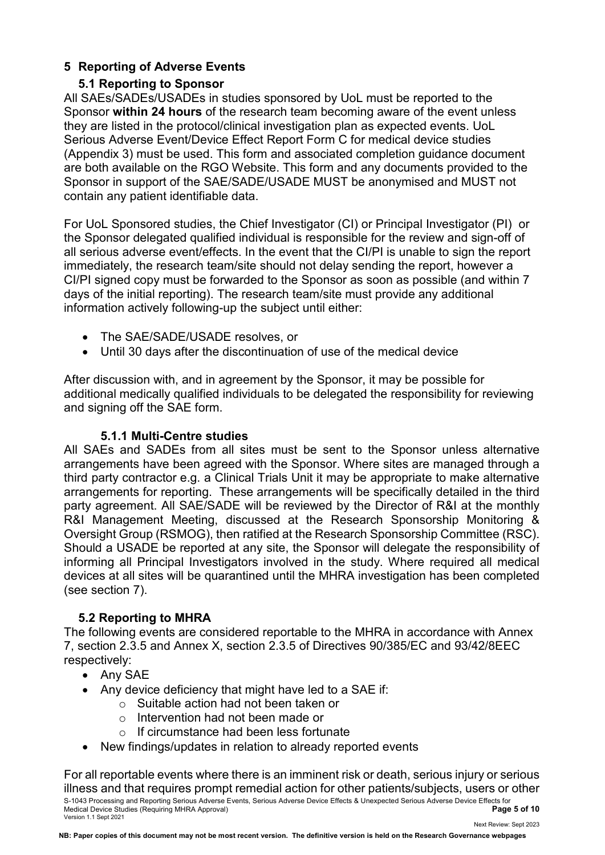# **5 Reporting of Adverse Events**

# **5.1 Reporting to Sponsor**

All SAEs/SADEs/USADEs in studies sponsored by UoL must be reported to the Sponsor **within 24 hours** of the research team becoming aware of the event unless they are listed in the protocol/clinical investigation plan as expected events. UoL Serious Adverse Event/Device Effect Report Form C for medical device studies (Appendix 3) must be used. This form and associated completion guidance document are both available on the RGO Website. This form and any documents provided to the Sponsor in support of the SAE/SADE/USADE MUST be anonymised and MUST not contain any patient identifiable data.

For UoL Sponsored studies, the Chief Investigator (CI) or Principal Investigator (PI) or the Sponsor delegated qualified individual is responsible for the review and sign-off of all serious adverse event/effects. In the event that the CI/PI is unable to sign the report immediately, the research team/site should not delay sending the report, however a CI/PI signed copy must be forwarded to the Sponsor as soon as possible (and within 7 days of the initial reporting). The research team/site must provide any additional information actively following-up the subject until either:

- The SAE/SADE/USADE resolves, or
- Until 30 days after the discontinuation of use of the medical device

After discussion with, and in agreement by the Sponsor, it may be possible for additional medically qualified individuals to be delegated the responsibility for reviewing and signing off the SAE form.

# **5.1.1 Multi-Centre studies**

All SAEs and SADEs from all sites must be sent to the Sponsor unless alternative arrangements have been agreed with the Sponsor. Where sites are managed through a third party contractor e.g. a Clinical Trials Unit it may be appropriate to make alternative arrangements for reporting. These arrangements will be specifically detailed in the third party agreement. All SAE/SADE will be reviewed by the Director of R&I at the monthly R&I Management Meeting, discussed at the Research Sponsorship Monitoring & Oversight Group (RSMOG), then ratified at the Research Sponsorship Committee (RSC). Should a USADE be reported at any site, the Sponsor will delegate the responsibility of informing all Principal Investigators involved in the study. Where required all medical devices at all sites will be quarantined until the MHRA investigation has been completed (see section 7).

# **5.2 Reporting to MHRA**

The following events are considered reportable to the MHRA in accordance with Annex 7, section 2.3.5 and Annex X, section 2.3.5 of Directives 90/385/EC and 93/42/8EEC respectively:

- Any SAE
- Any device deficiency that might have led to a SAE if:
	- o Suitable action had not been taken or
	- o Intervention had not been made or
	- o If circumstance had been less fortunate
- New findings/updates in relation to already reported events

S-1043 Processing and Reporting Serious Adverse Events, Serious Adverse Device Effects & Unexpected Serious Adverse Device Effects for<br>Page 5 of 10 Medical Device Studies (Requiring MHRA Approval) **Page 5 of 10** Version 1.1 Sept 2021 Next Review: Sept 2023 For all reportable events where there is an imminent risk or death, serious injury or serious illness and that requires prompt remedial action for other patients/subjects, users or other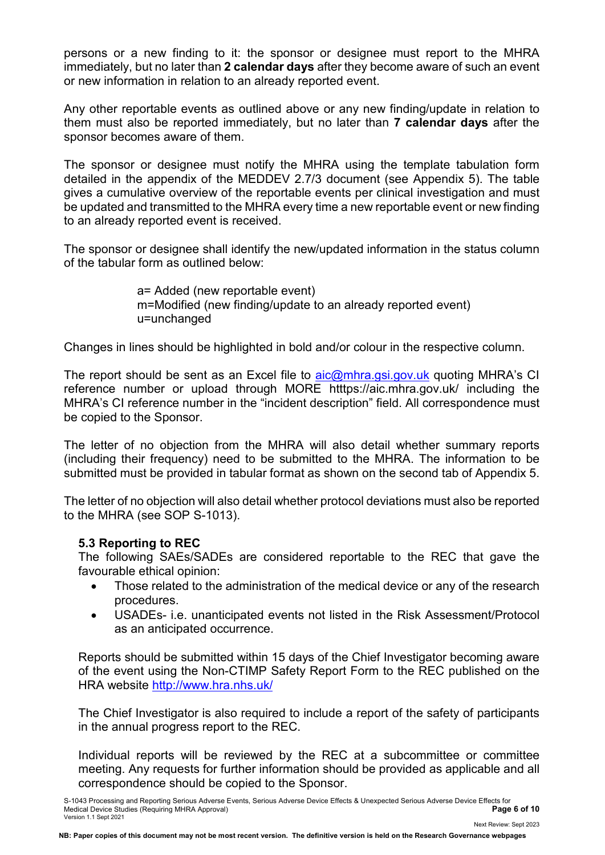persons or a new finding to it: the sponsor or designee must report to the MHRA immediately, but no later than **2 calendar days** after they become aware of such an event or new information in relation to an already reported event.

Any other reportable events as outlined above or any new finding/update in relation to them must also be reported immediately, but no later than **7 calendar days** after the sponsor becomes aware of them.

The sponsor or designee must notify the MHRA using the template tabulation form detailed in the appendix of the MEDDEV 2.7/3 document (see Appendix 5). The table gives a cumulative overview of the reportable events per clinical investigation and must be updated and transmitted to the MHRA every time a new reportable event or new finding to an already reported event is received.

The sponsor or designee shall identify the new/updated information in the status column of the tabular form as outlined below:

> a= Added (new reportable event) m=Modified (new finding/update to an already reported event) u=unchanged

Changes in lines should be highlighted in bold and/or colour in the respective column.

The report should be sent as an Excel file to  $a$ ic@mhra.gsi.gov.uk quoting MHRA's CI reference number or upload through MORE htttps://aic.mhra.gov.uk/ including the MHRA's CI reference number in the "incident description" field. All correspondence must be copied to the Sponsor.

The letter of no objection from the MHRA will also detail whether summary reports (including their frequency) need to be submitted to the MHRA. The information to be submitted must be provided in tabular format as shown on the second tab of Appendix 5.

The letter of no objection will also detail whether protocol deviations must also be reported to the MHRA (see SOP S-1013).

# **5.3 Reporting to REC**

The following SAEs/SADEs are considered reportable to the REC that gave the favourable ethical opinion:

- Those related to the administration of the medical device or any of the research procedures.
- USADEs- i.e. unanticipated events not listed in the Risk Assessment/Protocol as an anticipated occurrence.

Reports should be submitted within 15 days of the Chief Investigator becoming aware of the event using the Non-CTIMP Safety Report Form to the REC published on the HRA website<http://www.hra.nhs.uk/>

The Chief Investigator is also required to include a report of the safety of participants in the annual progress report to the REC.

Individual reports will be reviewed by the REC at a subcommittee or committee meeting. Any requests for further information should be provided as applicable and all correspondence should be copied to the Sponsor.

**NB: Paper copies of this document may not be most recent version. The definitive version is held on the Research Governance webpages**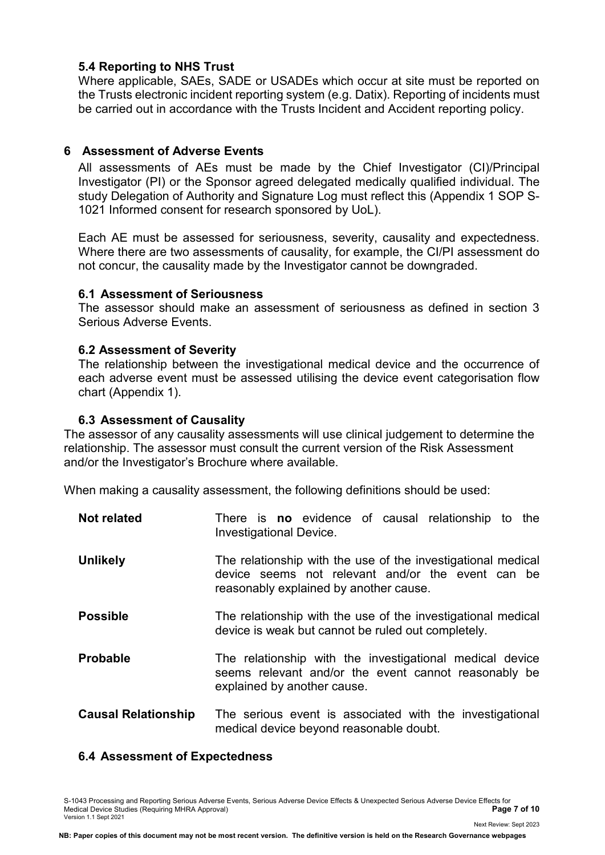### **5.4 Reporting to NHS Trust**

Where applicable, SAEs, SADE or USADEs which occur at site must be reported on the Trusts electronic incident reporting system (e.g. Datix). Reporting of incidents must be carried out in accordance with the Trusts Incident and Accident reporting policy.

# **6 Assessment of Adverse Events**

All assessments of AEs must be made by the Chief Investigator (CI)/Principal Investigator (PI) or the Sponsor agreed delegated medically qualified individual. The study Delegation of Authority and Signature Log must reflect this (Appendix 1 SOP S-1021 Informed consent for research sponsored by UoL).

Each AE must be assessed for seriousness, severity, causality and expectedness. Where there are two assessments of causality, for example, the CI/PI assessment do not concur, the causality made by the Investigator cannot be downgraded.

### **6.1 Assessment of Seriousness**

The assessor should make an assessment of seriousness as defined in section 3 Serious Adverse Events.

### **6.2 Assessment of Severity**

The relationship between the investigational medical device and the occurrence of each adverse event must be assessed utilising the device event categorisation flow chart (Appendix 1).

### **6.3 Assessment of Causality**

The assessor of any causality assessments will use clinical judgement to determine the relationship. The assessor must consult the current version of the Risk Assessment and/or the Investigator's Brochure where available.

When making a causality assessment, the following definitions should be used:

| <b>Not related</b>         | There is <b>no</b> evidence of causal relationship to the<br><b>Investigational Device.</b>                                                                 |  |
|----------------------------|-------------------------------------------------------------------------------------------------------------------------------------------------------------|--|
| <b>Unlikely</b>            | The relationship with the use of the investigational medical<br>device seems not relevant and/or the event can be<br>reasonably explained by another cause. |  |
| <b>Possible</b>            | The relationship with the use of the investigational medical<br>device is weak but cannot be ruled out completely.                                          |  |
| <b>Probable</b>            | The relationship with the investigational medical device<br>seems relevant and/or the event cannot reasonably be<br>explained by another cause.             |  |
| <b>Causal Relationship</b> | The serious event is associated with the investigational<br>medical device beyond reasonable doubt.                                                         |  |

# **6.4 Assessment of Expectedness**

S-1043 Processing and Reporting Serious Adverse Events, Serious Adverse Device Effects & Unexpected Serious Adverse Device Effects for<br>Page 7 of 10 Medical Device Studies (Requiring MHRA Approval) **Page 7 of 10** Version 1.1 Sept 2021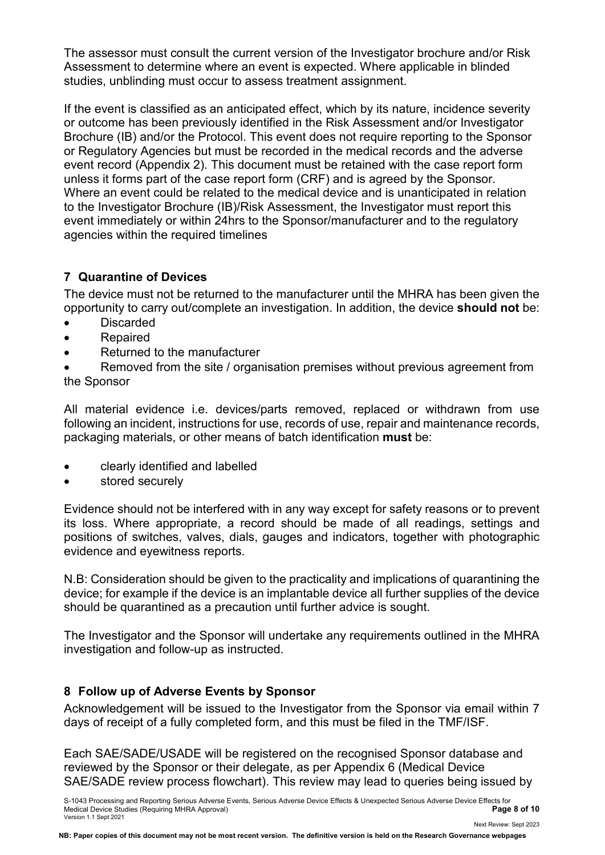The assessor must consult the current version of the Investigator brochure and/or Risk Assessment to determine where an event is expected. Where applicable in blinded studies, unblinding must occur to assess treatment assignment.

If the event is classified as an anticipated effect, which by its nature, incidence severity or outcome has been previously identified in the Risk Assessment and/or Investigator Brochure (IB) and/or the Protocol. This event does not require reporting to the Sponsor or Regulatory Agencies but must be recorded in the medical records and the adverse event record (Appendix 2). This document must be retained with the case report form unless it forms part of the case report form (CRF) and is agreed by the Sponsor. Where an event could be related to the medical device and is unanticipated in relation to the Investigator Brochure (IB)/Risk Assessment, the Investigator must report this event immediately or within 24hrs to the Sponsor/manufacturer and to the regulatory agencies within the required timelines

# **7 Quarantine of Devices**

The device must not be returned to the manufacturer until the MHRA has been given the opportunity to carry out/complete an investigation. In addition, the device **should not** be:

- Discarded
- Repaired
- Returned to the manufacturer

• Removed from the site / organisation premises without previous agreement from the Sponsor

All material evidence i.e. devices/parts removed, replaced or withdrawn from use following an incident, instructions for use, records of use, repair and maintenance records, packaging materials, or other means of batch identification **must** be:

- clearly identified and labelled
- stored securely

Evidence should not be interfered with in any way except for safety reasons or to prevent its loss. Where appropriate, a record should be made of all readings, settings and positions of switches, valves, dials, gauges and indicators, together with photographic evidence and eyewitness reports.

N.B: Consideration should be given to the practicality and implications of quarantining the device; for example if the device is an implantable device all further supplies of the device should be quarantined as a precaution until further advice is sought.

The Investigator and the Sponsor will undertake any requirements outlined in the MHRA investigation and follow-up as instructed.

# **8 Follow up of Adverse Events by Sponsor**

Acknowledgement will be issued to the Investigator from the Sponsor via email within 7 days of receipt of a fully completed form, and this must be filed in the TMF/ISF.

Each SAE/SADE/USADE will be registered on the recognised Sponsor database and reviewed by the Sponsor or their delegate, as per Appendix 6 (Medical Device SAE/SADE review process flowchart). This review may lead to queries being issued by

S-1043 Processing and Reporting Serious Adverse Events, Serious Adverse Device Effects & Unexpected Serious Adverse Device Effects for<br>Medical Device Studies (Requiring MHRA Approval) Medical Device Studies (Requiring MHRA Approval) **Page 8 of 10** Version 1.1 Sept 2021

**NB: Paper copies of this document may not be most recent version. The definitive version is held on the Research Governance webpages**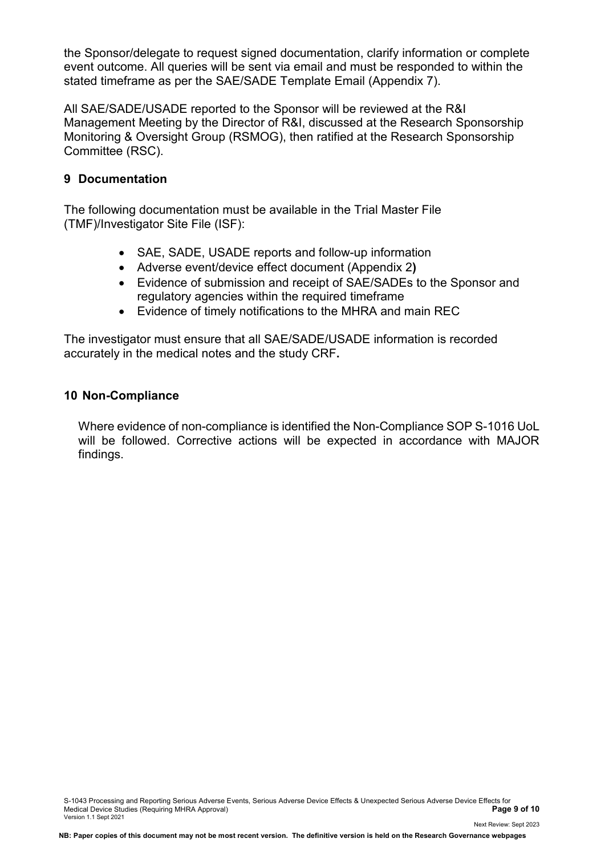the Sponsor/delegate to request signed documentation, clarify information or complete event outcome. All queries will be sent via email and must be responded to within the stated timeframe as per the SAE/SADE Template Email (Appendix 7).

All SAE/SADE/USADE reported to the Sponsor will be reviewed at the R&I Management Meeting by the Director of R&I, discussed at the Research Sponsorship Monitoring & Oversight Group (RSMOG), then ratified at the Research Sponsorship Committee (RSC).

# **9 Documentation**

The following documentation must be available in the Trial Master File (TMF)/Investigator Site File (ISF):

- SAE, SADE, USADE reports and follow-up information
- Adverse event/device effect document (Appendix 2**)**
- Evidence of submission and receipt of SAE/SADEs to the Sponsor and regulatory agencies within the required timeframe
- Evidence of timely notifications to the MHRA and main REC

The investigator must ensure that all SAE/SADE/USADE information is recorded accurately in the medical notes and the study CRF**.** 

### **10 Non-Compliance**

Where evidence of non-compliance is identified the Non-Compliance SOP S-1016 UoL will be followed. Corrective actions will be expected in accordance with MAJOR findings.